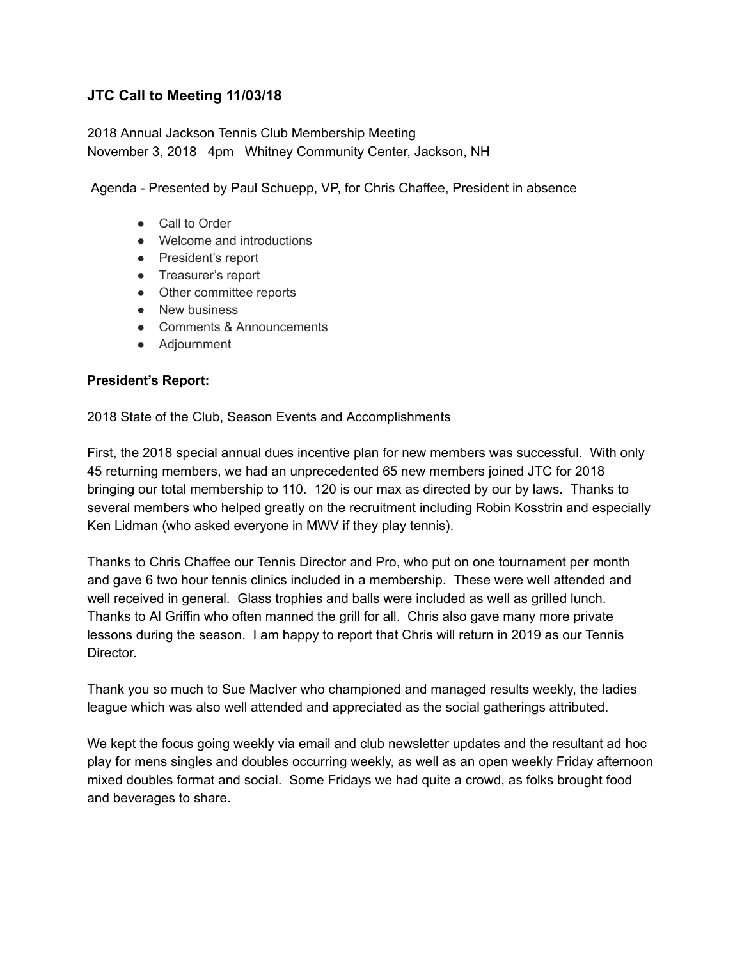# **JTC Call to Meeting 11/03/18**

2018 Annual Jackson Tennis Club Membership Meeting November 3, 2018 4pm Whitney Community Center, Jackson, NH

Agenda Presented by Paul Schuepp, VP, for Chris Chaffee, President in absence

- Call to Order
- Welcome and introductions
- President's report
- Treasurer's report
- Other committee reports
- New business
- Comments & Announcements
- Adjournment

### **President's Report:**

2018 State of the Club, Season Events and Accomplishments

First, the 2018 special annual dues incentive plan for new members was successful. With only 45 returning members, we had an unprecedented 65 new members joined JTC for 2018 bringing our total membership to 110. 120 is our max as directed by our by laws. Thanks to several members who helped greatly on the recruitment including Robin Kosstrin and especially Ken Lidman (who asked everyone in MWV if they play tennis).

Thanks to Chris Chaffee our Tennis Director and Pro, who put on one tournament per month and gave 6 two hour tennis clinics included in a membership. These were well attended and well received in general. Glass trophies and balls were included as well as grilled lunch. Thanks to Al Griffin who often manned the grill for all. Chris also gave many more private lessons during the season. I am happy to report that Chris will return in 2019 as our Tennis Director.

Thank you so much to Sue MacIver who championed and managed results weekly, the ladies league which was also well attended and appreciated as the social gatherings attributed.

We kept the focus going weekly via email and club newsletter updates and the resultant ad hoc play for mens singles and doubles occurring weekly, as well as an open weekly Friday afternoon mixed doubles format and social. Some Fridays we had quite a crowd, as folks brought food and beverages to share.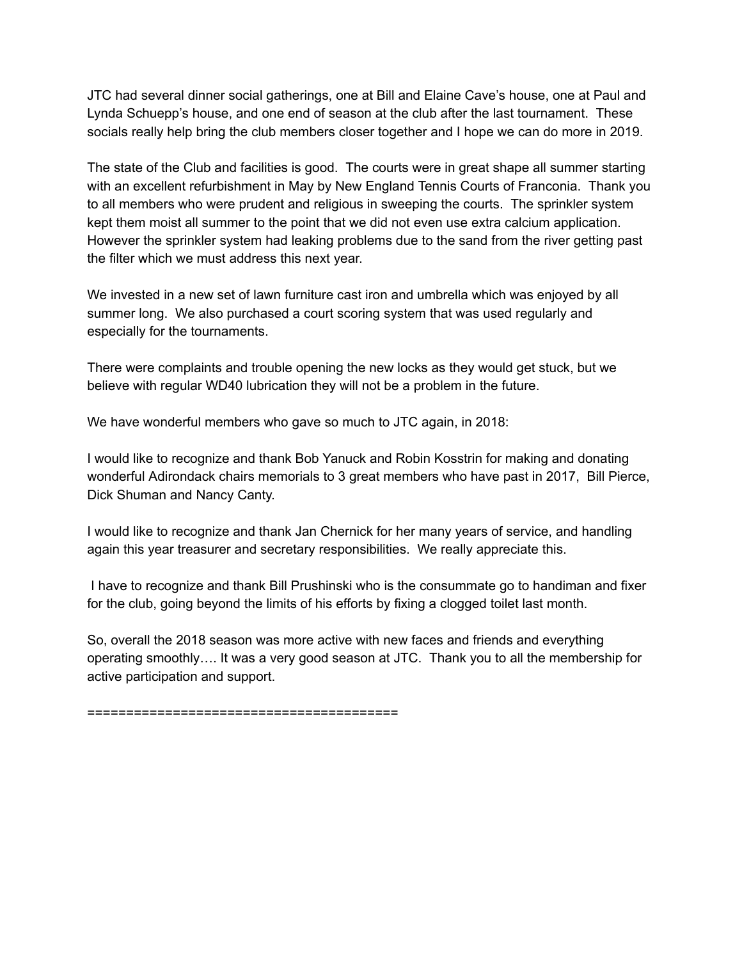JTC had several dinner social gatherings, one at Bill and Elaine Cave's house, one at Paul and Lynda Schuepp's house, and one end of season at the club after the last tournament. These socials really help bring the club members closer together and I hope we can do more in 2019.

The state of the Club and facilities is good. The courts were in great shape all summer starting with an excellent refurbishment in May by New England Tennis Courts of Franconia. Thank you to all members who were prudent and religious in sweeping the courts. The sprinkler system kept them moist all summer to the point that we did not even use extra calcium application. However the sprinkler system had leaking problems due to the sand from the river getting past the filter which we must address this next year.

We invested in a new set of lawn furniture cast iron and umbrella which was enjoyed by all summer long. We also purchased a court scoring system that was used regularly and especially for the tournaments.

There were complaints and trouble opening the new locks as they would get stuck, but we believe with regular WD40 lubrication they will not be a problem in the future.

We have wonderful members who gave so much to JTC again, in 2018:

I would like to recognize and thank Bob Yanuck and Robin Kosstrin for making and donating wonderful Adirondack chairs memorials to 3 great members who have past in 2017, Bill Pierce, Dick Shuman and Nancy Canty.

I would like to recognize and thank Jan Chernick for her many years of service, and handling again this year treasurer and secretary responsibilities. We really appreciate this.

I have to recognize and thank Bill Prushinski who is the consummate go to handiman and fixer for the club, going beyond the limits of his efforts by fixing a clogged toilet last month.

So, overall the 2018 season was more active with new faces and friends and everything operating smoothly…. It was a very good season at JTC. Thank you to all the membership for active participation and support.

========================================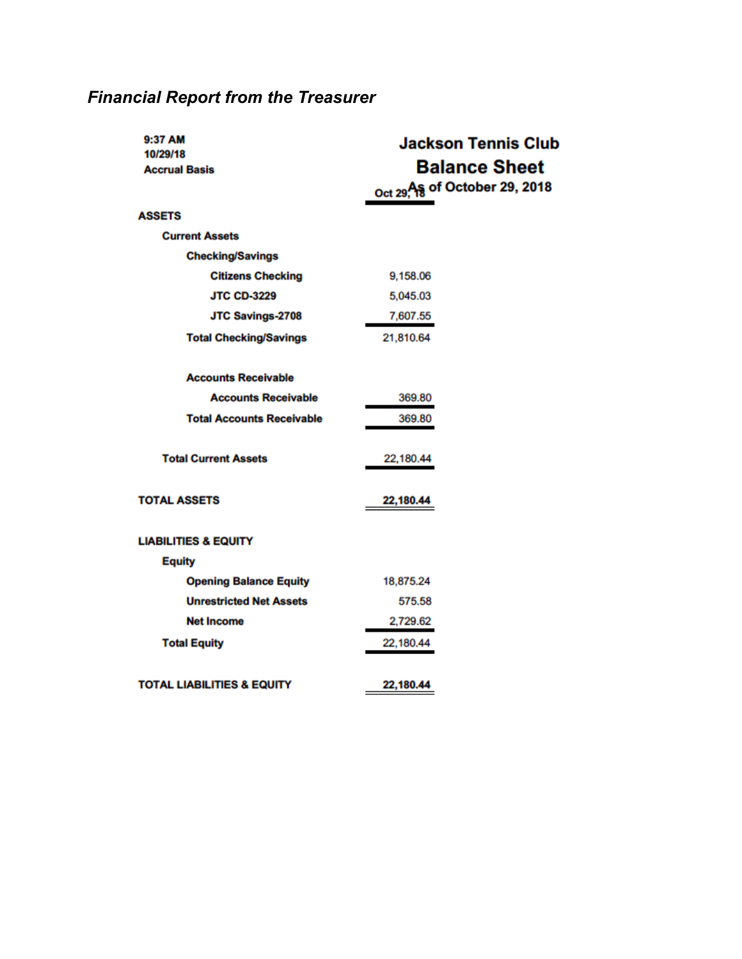| 9:37 AM<br>10/29/18              | <b>Jackson Tennis Club</b>     |
|----------------------------------|--------------------------------|
| <b>Accrual Basis</b>             | <b>Balance Sheet</b>           |
|                                  | Oct 29, As of October 29, 2018 |
| <b>ASSETS</b>                    |                                |
| <b>Current Assets</b>            |                                |
| <b>Checking/Savings</b>          |                                |
| <b>Citizens Checking</b>         | 9,158.06                       |
| <b>JTC CD-3229</b>               | 5,045.03                       |
| <b>JTC Savings-2708</b>          | 7,607.55                       |
| <b>Total Checking/Savings</b>    | 21,810.64                      |
|                                  |                                |
| <b>Accounts Receivable</b>       |                                |
| <b>Accounts Receivable</b>       | 369.80                         |
| <b>Total Accounts Receivable</b> | 369.80                         |
|                                  |                                |
| <b>Total Current Assets</b>      | 22,180.44                      |
|                                  |                                |
| <b>TOTAL ASSETS</b>              | 22,180.44                      |
|                                  |                                |
| <b>LIABILITIES &amp; EQUITY</b>  |                                |
| <b>Equity</b>                    |                                |
| <b>Opening Balance Equity</b>    | 18,875.24                      |
| <b>Unrestricted Net Assets</b>   | 575.58                         |
| <b>Net Income</b>                | 2,729.62                       |
| <b>Total Equity</b>              | 22,180.44                      |
|                                  |                                |
| TOTAL LIABILITIES & EQUITY       | 22,180.44                      |

# *Financial Report from the Treasurer*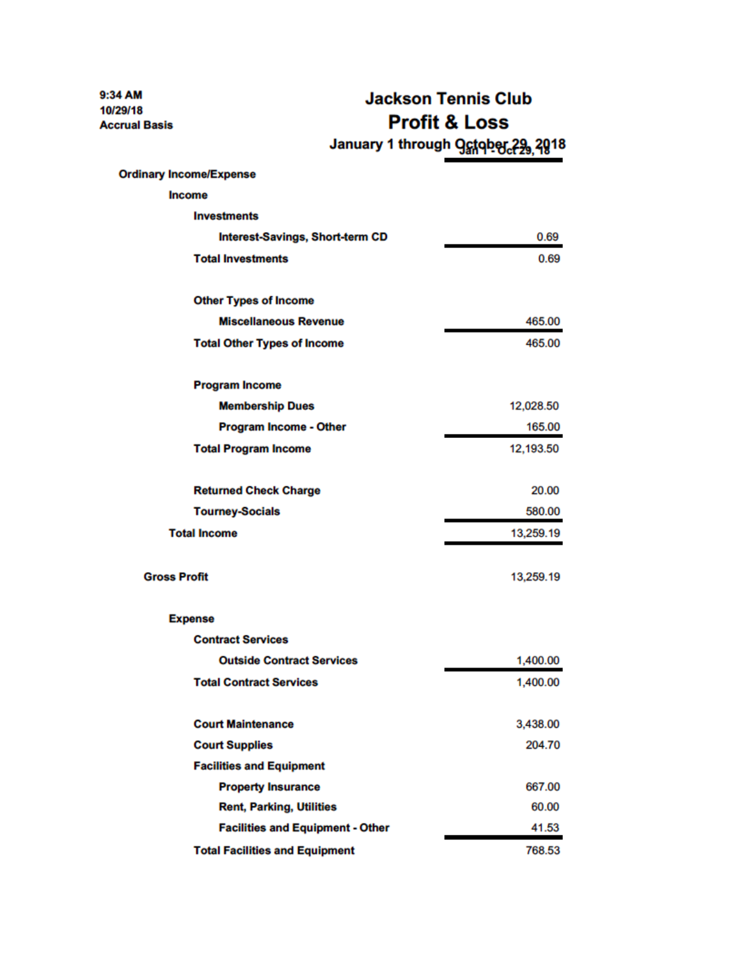9:34 AM 10/29/18 **Accrual Basis** 

**Jackson Tennis Club Profit & Loss** January 1 through Ostober 29, 2018

| <b>Ordinary Income/Expense</b>          |           |
|-----------------------------------------|-----------|
| <b>Income</b>                           |           |
| <b>Investments</b>                      |           |
| <b>Interest-Savings, Short-term CD</b>  | 0.69      |
| <b>Total Investments</b>                | 0.69      |
| <b>Other Types of Income</b>            |           |
| <b>Miscellaneous Revenue</b>            | 465.00    |
| <b>Total Other Types of Income</b>      | 465.00    |
| <b>Program Income</b>                   |           |
| <b>Membership Dues</b>                  | 12,028.50 |
| <b>Program Income - Other</b>           | 165.00    |
| <b>Total Program Income</b>             | 12,193.50 |
| <b>Returned Check Charge</b>            | 20.00     |
| <b>Tourney-Socials</b>                  | 580.00    |
| <b>Total Income</b>                     | 13,259.19 |
| <b>Gross Profit</b>                     | 13,259.19 |
| <b>Expense</b>                          |           |
| <b>Contract Services</b>                |           |
| <b>Outside Contract Services</b>        | 1,400.00  |
| <b>Total Contract Services</b>          | 1,400.00  |
| <b>Court Maintenance</b>                | 3,438.00  |
| <b>Court Supplies</b>                   | 204.70    |
| <b>Facilities and Equipment</b>         |           |
| <b>Property Insurance</b>               | 667.00    |
| <b>Rent, Parking, Utilities</b>         | 60.00     |
| <b>Facilities and Equipment - Other</b> | 41.53     |
| <b>Total Facilities and Equipment</b>   | 768.53    |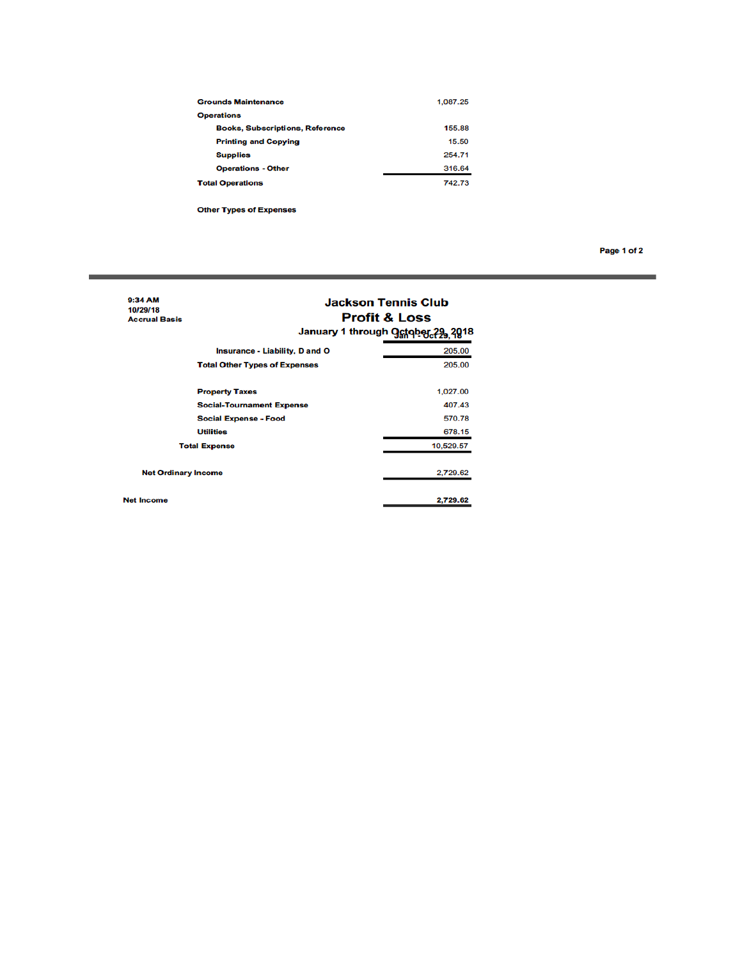| <b>Grounds Maintenance</b>             | 1,087.25 |
|----------------------------------------|----------|
| <b>Operations</b>                      |          |
| <b>Books, Subscriptions, Reference</b> | 155.88   |
| <b>Printing and Copying</b>            | 15.50    |
| <b>Supplies</b>                        | 254.71   |
| <b>Operations - Other</b>              | 316.64   |
| <b>Total Operations</b>                | 742.73   |

**Other Types of Expenses** 

**Net Income** 

Page 1 of 2

#### 9:34 AM<br>10/29/18 **Jackson Tennis Club Profit & Loss Accrual Basis** January 1 through Ostober 29, 2018 **Insurance - Liability, D and O** 205.00 **Total Other Types of Expenses** 205.00 **Property Taxes** 1,027.00 **Social-Tournament Expense** 407.43 **Social Expense - Food** 570.78 **Utilities** 678.15 10,529.57 **Total Expense Net Ordinary Income** 2,729.62

2,729.62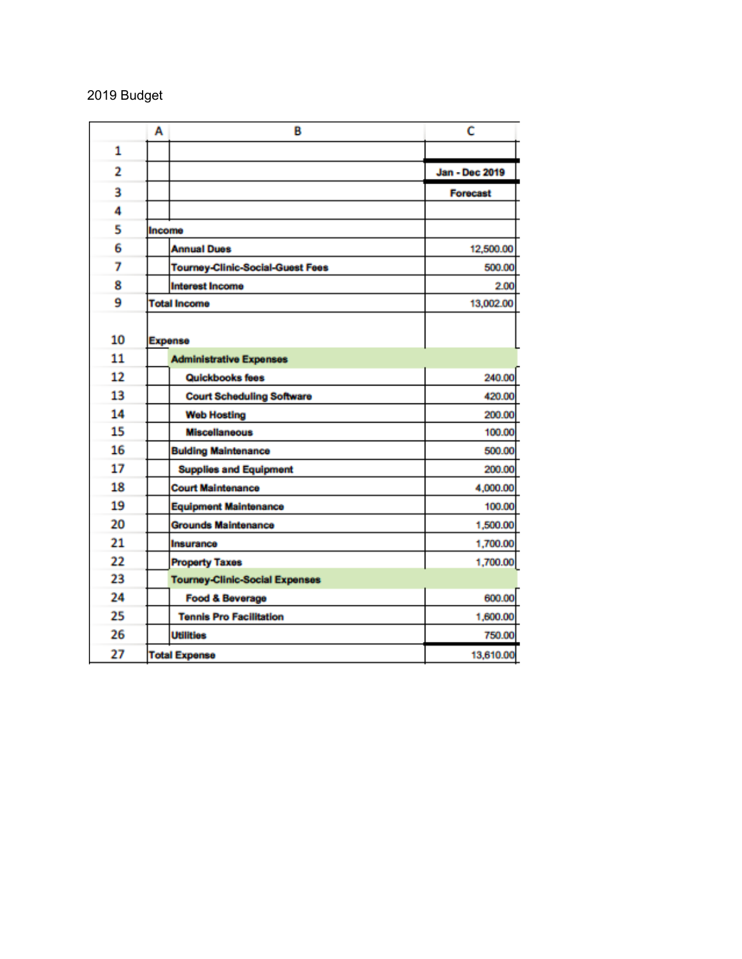# Budget

|                | А<br>B                                  | c               |
|----------------|-----------------------------------------|-----------------|
| 1              |                                         |                 |
| $\overline{2}$ |                                         | Jan - Dec 2019  |
| 3              |                                         | <b>Forecast</b> |
| 4              |                                         |                 |
| 5              | Income                                  |                 |
| 6              | <b>Annual Dues</b>                      | 12,500.00       |
| 7              | <b>Tourney-Clinic-Social-Guest Fees</b> | 500.00          |
| 8              | <b>Interest Income</b>                  | 2.00            |
| 9              | <b>Total Income</b>                     | 13,002.00       |
| 10             | <b>Expense</b>                          |                 |
| 11             | <b>Administrative Expenses</b>          |                 |
| 12             | Quickbooks fees                         | 240.00          |
| 13             | <b>Court Scheduling Software</b>        | 420.00          |
| 14             | <b>Web Hosting</b>                      | 200.00          |
| 15             | <b>Miscellaneous</b>                    | 100.00          |
| 16             | <b>Bulding Maintenance</b>              | 500.00          |
| 17             | <b>Supplies and Equipment</b>           | 200.00          |
| 18             | <b>Court Maintenance</b>                | 4,000.00        |
| 19             | <b>Equipment Maintenance</b>            | 100.00          |
| 20             | <b>Grounds Maintenance</b>              | 1,500.00        |
| 21             | Insurance                               | 1,700.00        |
| 22             | <b>Property Taxes</b>                   | 1,700.00        |
| 23             | <b>Tourney-Clinic-Social Expenses</b>   |                 |
| 24             | <b>Food &amp; Beverage</b>              | 600.00          |
| 25             | <b>Tennis Pro Facilitation</b>          | 1,600.00        |
| 26             | <b>Utilities</b>                        | 750.00          |
| 27             | <b>Total Expense</b>                    | 13,610.00       |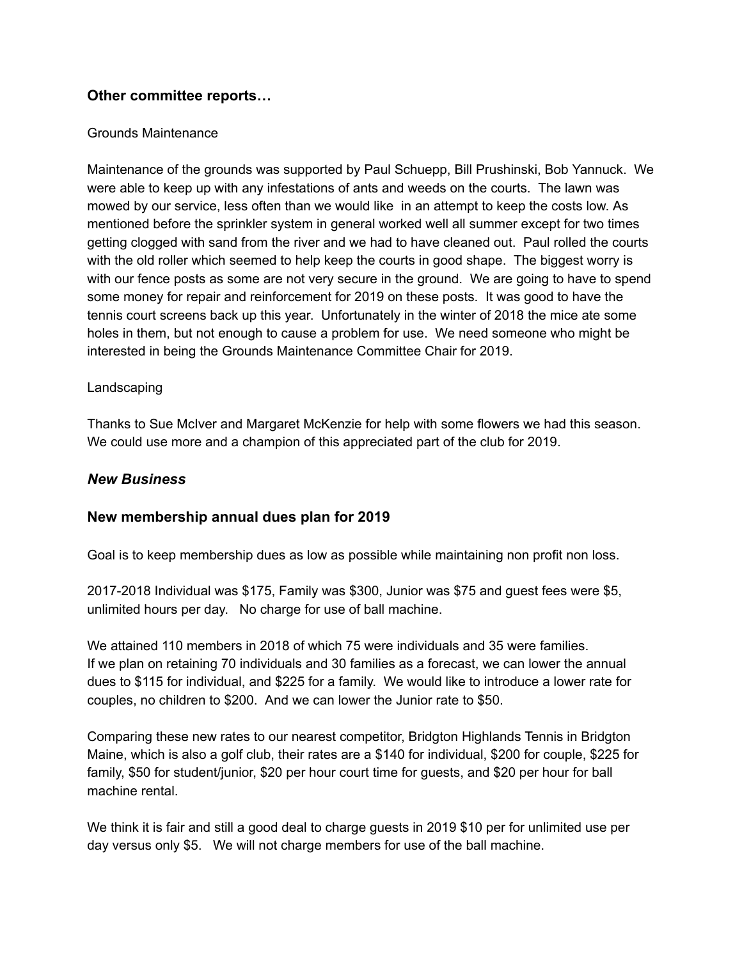# **Other committee reports…**

# Grounds Maintenance

Maintenance of the grounds was supported by Paul Schuepp, Bill Prushinski, Bob Yannuck. We were able to keep up with any infestations of ants and weeds on the courts. The lawn was mowed by our service, less often than we would like in an attempt to keep the costs low. As mentioned before the sprinkler system in general worked well all summer except for two times getting clogged with sand from the river and we had to have cleaned out. Paul rolled the courts with the old roller which seemed to help keep the courts in good shape. The biggest worry is with our fence posts as some are not very secure in the ground. We are going to have to spend some money for repair and reinforcement for 2019 on these posts. It was good to have the tennis court screens back up this year. Unfortunately in the winter of 2018 the mice ate some holes in them, but not enough to cause a problem for use. We need someone who might be interested in being the Grounds Maintenance Committee Chair for 2019.

# Landscaping

Thanks to Sue McIver and Margaret McKenzie for help with some flowers we had this season. We could use more and a champion of this appreciated part of the club for 2019.

# *New Business*

# **New membership annual dues plan for 2019**

Goal is to keep membership dues as low as possible while maintaining non profit non loss.

2017-2018 Individual was \$175, Family was \$300, Junior was \$75 and guest fees were \$5, unlimited hours per day. No charge for use of ball machine.

We attained 110 members in 2018 of which 75 were individuals and 35 were families. If we plan on retaining 70 individuals and 30 families as a forecast, we can lower the annual dues to \$115 for individual, and \$225 for a family. We would like to introduce a lower rate for couples, no children to \$200. And we can lower the Junior rate to \$50.

Comparing these new rates to our nearest competitor, Bridgton Highlands Tennis in Bridgton Maine, which is also a golf club, their rates are a \$140 for individual, \$200 for couple, \$225 for family, \$50 for student/junior, \$20 per hour court time for guests, and \$20 per hour for ball machine rental.

We think it is fair and still a good deal to charge guests in 2019 \$10 per for unlimited use per day versus only \$5. We will not charge members for use of the ball machine.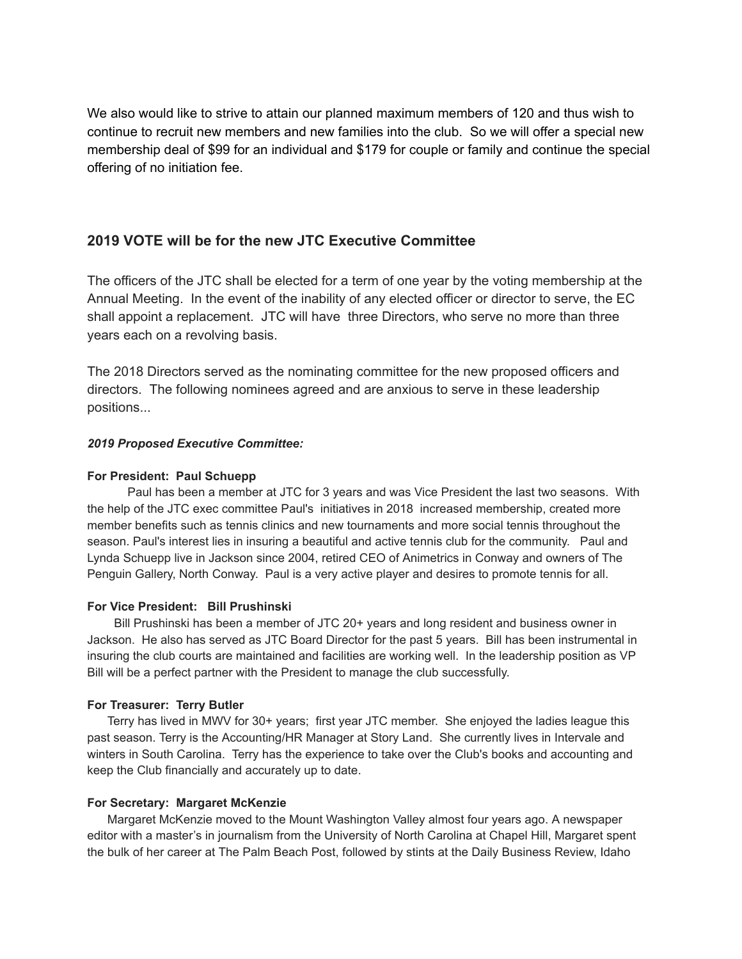We also would like to strive to attain our planned maximum members of 120 and thus wish to continue to recruit new members and new families into the club. So we will offer a special new membership deal of \$99 for an individual and \$179 for couple or family and continue the special offering of no initiation fee.

## **2019 VOTE will be for the new JTC Executive Committee**

The officers of the JTC shall be elected for a term of one year by the voting membership at the Annual Meeting. In the event of the inability of any elected officer or director to serve, the EC shall appoint a replacement. JTC will have three Directors, who serve no more than three years each on a revolving basis.

The 2018 Directors served as the nominating committee for the new proposed officers and directors. The following nominees agreed and are anxious to serve in these leadership positions...

#### *2019 Proposed Executive Committee:*

#### **For President: Paul Schuepp**

Paul has been a member at JTC for 3 years and was Vice President the last two seasons. With the help of the JTC exec committee Paul's initiatives in 2018 increased membership, created more member benefits such as tennis clinics and new tournaments and more social tennis throughout the season. Paul's interest lies in insuring a beautiful and active tennis club for the community. Paul and Lynda Schuepp live in Jackson since 2004, retired CEO of Animetrics in Conway and owners of The Penguin Gallery, North Conway. Paul is a very active player and desires to promote tennis for all.

#### **For Vice President: Bill Prushinski**

Bill Prushinski has been a member of JTC 20+ years and long resident and business owner in Jackson. He also has served as JTC Board Director for the past 5 years. Bill has been instrumental in insuring the club courts are maintained and facilities are working well. In the leadership position as VP Bill will be a perfect partner with the President to manage the club successfully.

#### **For Treasurer: Terry Butler**

Terry has lived in MWV for 30+ years; first year JTC member. She enjoyed the ladies league this past season. Terry is the Accounting/HR Manager at Story Land. She currently lives in Intervale and winters in South Carolina. Terry has the experience to take over the Club's books and accounting and keep the Club financially and accurately up to date.

#### **For Secretary: Margaret McKenzie**

Margaret McKenzie moved to the Mount Washington Valley almost four years ago. A newspaper editor with a master's in journalism from the University of North Carolina at Chapel Hill, Margaret spent the bulk of her career at The Palm Beach Post, followed by stints at the Daily Business Review, Idaho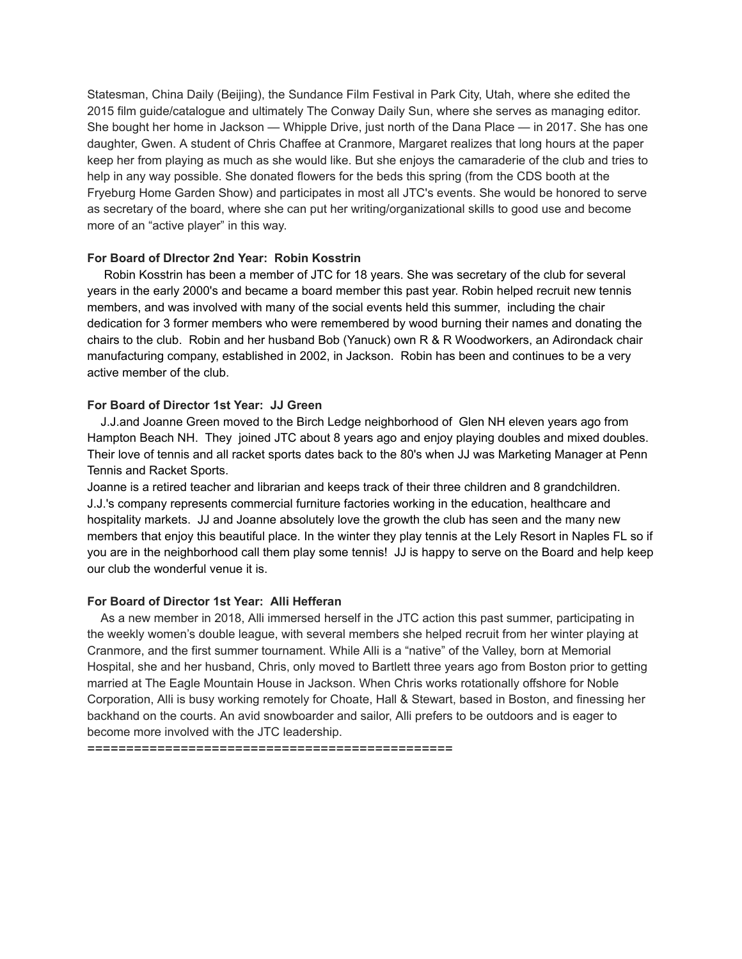Statesman, China Daily (Beijing), the Sundance Film Festival in Park City, Utah, where she edited the 2015 film guide/catalogue and ultimately The Conway Daily Sun, where she serves as managing editor. She bought her home in Jackson — Whipple Drive, just north of the Dana Place — in 2017. She has one daughter, Gwen. A student of Chris Chaffee at Cranmore, Margaret realizes that long hours at the paper keep her from playing as much as she would like. But she enjoys the camaraderie of the club and tries to help in any way possible. She donated flowers for the beds this spring (from the CDS booth at the Fryeburg Home Garden Show) and participates in most all JTC's events. She would be honored to serve as secretary of the board, where she can put her writing/organizational skills to good use and become more of an "active player" in this way.

#### **For Board of DIrector 2nd Year: Robin Kosstrin**

Robin Kosstrin has been a member of JTC for 18 years. She was secretary of the club for several years in the early 2000's and became a board member this past year. Robin helped recruit new tennis members, and was involved with many of the social events held this summer, including the chair dedication for 3 former members who were remembered by wood burning their names and donating the chairs to the club. Robin and her husband Bob (Yanuck) own R & R Woodworkers, an Adirondack chair manufacturing company, established in 2002, in Jackson. Robin has been and continues to be a very active member of the club.

#### **For Board of Director 1st Year: JJ Green**

J.J.and Joanne Green moved to the Birch Ledge neighborhood of Glen NH eleven years ago from Hampton Beach NH. They joined JTC about 8 years ago and enjoy playing doubles and mixed doubles. Their love of tennis and all racket sports dates back to the 80's when JJ was Marketing Manager at Penn Tennis and Racket Sports.

Joanne is a retired teacher and librarian and keeps track of their three children and 8 grandchildren. J.J.'s company represents commercial furniture factories working in the education, healthcare and hospitality markets. JJ and Joanne absolutely love the growth the club has seen and the many new members that enjoy this beautiful place. In the winter they play tennis at the Lely Resort in Naples FL so if you are in the neighborhood call them play some tennis! JJ is happy to serve on the Board and help keep our club the wonderful venue it is.

#### **For Board of Director 1st Year: Alli Hefferan**

As a new member in 2018, Alli immersed herself in the JTC action this past summer, participating in the weekly women's double league, with several members she helped recruit from her winter playing at Cranmore, and the first summer tournament. While Alli is a "native" of the Valley, born at Memorial Hospital, she and her husband, Chris, only moved to Bartlett three years ago from Boston prior to getting married at The Eagle Mountain House in Jackson. When Chris works rotationally offshore for Noble Corporation, Alli is busy working remotely for Choate, Hall & Stewart, based in Boston, and finessing her backhand on the courts. An avid snowboarder and sailor, Alli prefers to be outdoors and is eager to become more involved with the JTC leadership.

===============================================